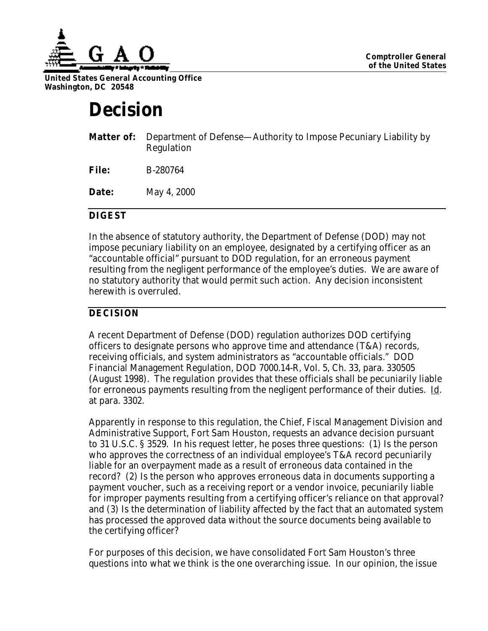

**United States General Accounting Office Washington, DC 20548**

# **Decision**

|              | <b>Matter of:</b> Department of Defense—Authority to Impose Pecuniary Liability by<br>Regulation |
|--------------|--------------------------------------------------------------------------------------------------|
| File:        | B-280764                                                                                         |
| <b>Date:</b> | May 4, 2000                                                                                      |

## **DIGEST**

In the absence of statutory authority, the Department of Defense (DOD) may not impose pecuniary liability on an employee, designated by a certifying officer as an "accountable official" pursuant to DOD regulation, for an erroneous payment resulting from the negligent performance of the employee's duties. We are aware of no statutory authority that would permit such action. Any decision inconsistent herewith is overruled.

# **DECISION**

A recent Department of Defense (DOD) regulation authorizes DOD certifying officers to designate persons who approve time and attendance (T&A) records, receiving officials, and system administrators as "accountable officials." DOD Financial Management Regulation, DOD 7000.14-R, Vol. 5, Ch. 33, para. 330505 (August 1998). The regulation provides that these officials shall be pecuniarily liable for erroneous payments resulting from the negligent performance of their duties. Id. at para. 3302.

Apparently in response to this regulation, the Chief, Fiscal Management Division and Administrative Support, Fort Sam Houston, requests an advance decision pursuant to 31 U.S.C. § 3529. In his request letter, he poses three questions: (1) Is the person who approves the correctness of an individual employee's T&A record pecuniarily liable for an overpayment made as a result of erroneous data contained in the record? (2) Is the person who approves erroneous data in documents supporting a payment voucher, such as a receiving report or a vendor invoice, pecuniarily liable for improper payments resulting from a certifying officer's reliance on that approval? and (3) Is the determination of liability affected by the fact that an automated system has processed the approved data without the source documents being available to the certifying officer?

For purposes of this decision, we have consolidated Fort Sam Houston's three questions into what we think is the one overarching issue. In our opinion, the issue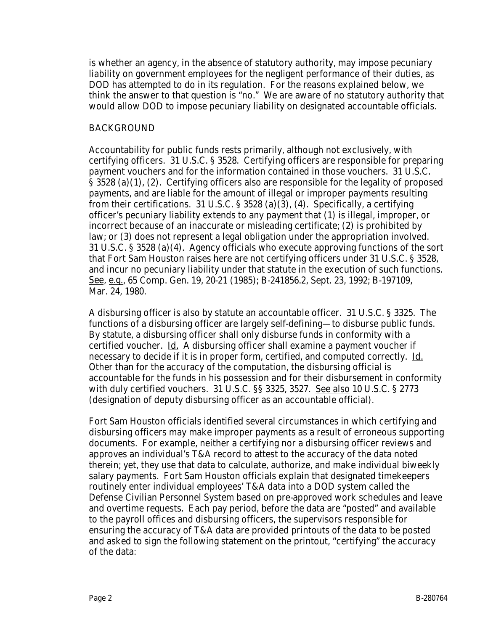is whether an agency, in the absence of statutory authority, may impose pecuniary liability on government employees for the negligent performance of their duties, as DOD has attempted to do in its regulation. For the reasons explained below, we think the answer to that question is "no." We are aware of no statutory authority that would allow DOD to impose pecuniary liability on designated accountable officials.

#### BACKGROUND

Accountability for public funds rests primarily, although not exclusively, with certifying officers. 31 U.S.C. § 3528. Certifying officers are responsible for preparing payment vouchers and for the information contained in those vouchers. 31 U.S.C. § 3528 (a)(1), (2). Certifying officers also are responsible for the legality of proposed payments, and are liable for the amount of illegal or improper payments resulting from their certifications. 31 U.S.C. § 3528 (a)(3), (4). Specifically, a certifying officer's pecuniary liability extends to any payment that (1) is illegal, improper, or incorrect because of an inaccurate or misleading certificate; (2) is prohibited by law; or (3) does not represent a legal obligation under the appropriation involved. 31 U.S.C. § 3528 (a)(4). Agency officials who execute approving functions of the sort that Fort Sam Houston raises here are not certifying officers under 31 U.S.C. § 3528, and incur no pecuniary liability under that statute in the execution of such functions. See, e.g., 65 Comp. Gen. 19, 20-21 (1985); B-241856.2, Sept. 23, 1992; B-197109, Mar. 24, 1980.

A disbursing officer is also by statute an accountable officer. 31 U.S.C. § 3325. The functions of a disbursing officer are largely self-defining—to disburse public funds. By statute, a disbursing officer shall only disburse funds in conformity with a certified voucher. Id. A disbursing officer shall examine a payment voucher if necessary to decide if it is in proper form, certified, and computed correctly. Id. Other than for the accuracy of the computation, the disbursing official is accountable for the funds in his possession and for their disbursement in conformity with duly certified vouchers. 31 U.S.C. §§ 3325, 3527. See also 10 U.S.C. § 2773 (designation of deputy disbursing officer as an accountable official).

Fort Sam Houston officials identified several circumstances in which certifying and disbursing officers may make improper payments as a result of erroneous supporting documents. For example, neither a certifying nor a disbursing officer reviews and approves an individual's T&A record to attest to the accuracy of the data noted therein; yet, they use that data to calculate, authorize, and make individual biweekly salary payments. Fort Sam Houston officials explain that designated timekeepers routinely enter individual employees' T&A data into a DOD system called the Defense Civilian Personnel System based on pre-approved work schedules and leave and overtime requests. Each pay period, before the data are "posted" and available to the payroll offices and disbursing officers, the supervisors responsible for ensuring the accuracy of T&A data are provided printouts of the data to be posted and asked to sign the following statement on the printout, "certifying" the accuracy of the data: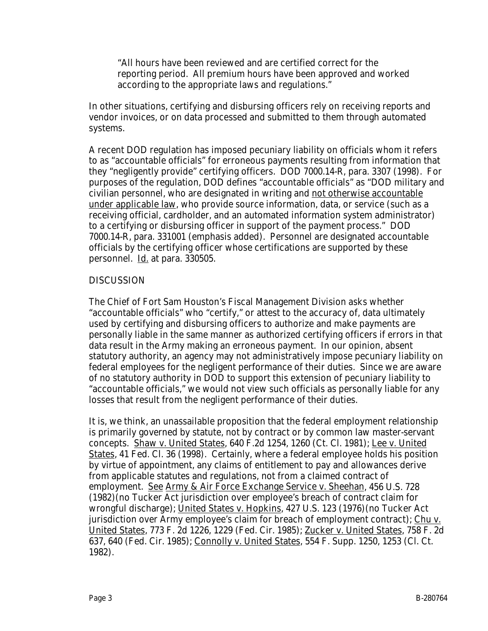"All hours have been reviewed and are certified correct for the reporting period. All premium hours have been approved and worked according to the appropriate laws and regulations."

In other situations, certifying and disbursing officers rely on receiving reports and vendor invoices, or on data processed and submitted to them through automated systems.

A recent DOD regulation has imposed pecuniary liability on officials whom it refers to as "accountable officials" for erroneous payments resulting from information that they "negligently provide" certifying officers. DOD 7000.14-R, para. 3307 (1998). For purposes of the regulation, DOD defines "accountable officials" as "DOD military and civilian personnel, who are designated in writing and not otherwise accountable under applicable law, who provide source information, data, or service (such as a receiving official, cardholder, and an automated information system administrator) to a certifying or disbursing officer in support of the payment process." DOD 7000.14-R, para. 331001 (emphasis added). Personnel are designated accountable officials by the certifying officer whose certifications are supported by these personnel. Id. at para. 330505.

## DISCUSSION

The Chief of Fort Sam Houston's Fiscal Management Division asks whether "accountable officials" who "certify," or attest to the accuracy of, data ultimately used by certifying and disbursing officers to authorize and make payments are personally liable in the same manner as authorized certifying officers if errors in that data result in the Army making an erroneous payment. In our opinion, absent statutory authority, an agency may not administratively impose pecuniary liability on federal employees for the negligent performance of their duties. Since we are aware of no statutory authority in DOD to support this extension of pecuniary liability to "accountable officials," we would not view such officials as personally liable for any losses that result from the negligent performance of their duties.

It is, we think, an unassailable proposition that the federal employment relationship is primarily governed by statute, not by contract or by common law master-servant concepts. Shaw v. United States, 640 F.2d 1254, 1260 (Ct. Cl. 1981); Lee v. United States, 41 Fed. Cl. 36 (1998). Certainly, where a federal employee holds his position by virtue of appointment, any claims of entitlement to pay and allowances derive from applicable statutes and regulations, not from a claimed contract of employment. See Army & Air Force Exchange Service v. Sheehan, 456 U.S. 728 (1982)(no Tucker Act jurisdiction over employee's breach of contract claim for wrongful discharge); United States v. Hopkins, 427 U.S. 123 (1976)(no Tucker Act jurisdiction over Army employee's claim for breach of employment contract); Chu v. United States, 773 F. 2d 1226, 1229 (Fed. Cir. 1985); Zucker v. United States, 758 F. 2d 637, 640 (Fed. Cir. 1985); Connolly v. United States, 554 F. Supp. 1250, 1253 (Cl. Ct. 1982).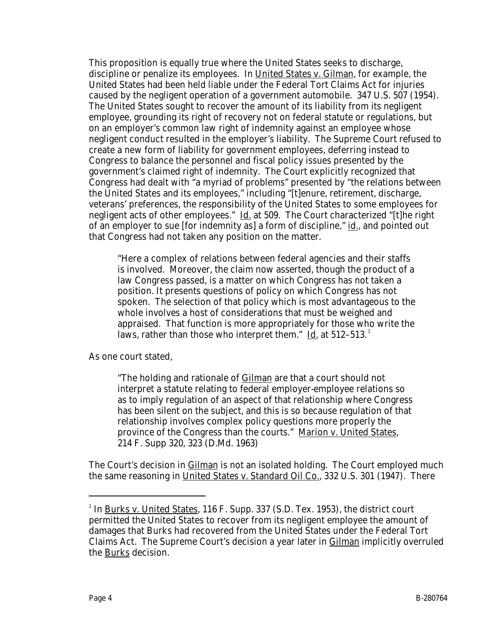This proposition is equally true where the United States seeks to discharge, discipline or penalize its employees. In United States v. Gilman, for example, the United States had been held liable under the Federal Tort Claims Act for injuries caused by the negligent operation of a government automobile. 347 U.S. 507 (1954). The United States sought to recover the amount of its liability from its negligent employee, grounding its right of recovery not on federal statute or regulations, but on an employer's common law right of indemnity against an employee whose negligent conduct resulted in the employer's liability. The Supreme Court refused to create a new form of liability for government employees, deferring instead to Congress to balance the personnel and fiscal policy issues presented by the government's claimed right of indemnity. The Court explicitly recognized that Congress had dealt with "a myriad of problems" presented by "the relations between the United States and its employees," including "[t]enure, retirement, discharge, veterans' preferences, the responsibility of the United States to some employees for negligent acts of other employees." Id. at 509. The Court characterized "Itlhe right of an employer to sue [for indemnity as] a form of discipline," id., and pointed out that Congress had not taken any position on the matter.

"Here a complex of relations between federal agencies and their staffs is involved. Moreover, the claim now asserted, though the product of a law Congress passed, is a matter on which Congress has not taken a position. It presents questions of policy on which Congress has not spoken. The selection of that policy which is most advantageous to the whole involves a host of considerations that must be weighed and appraised. That function is more appropriately for those who write the laws, rather than those who interpret them."  $\underline{Id}$  at 512–513.

As one court stated,

"The holding and rationale of Gilman are that a court should not interpret a statute relating to federal employer-employee relations so as to imply regulation of an aspect of that relationship where Congress has been silent on the subject, and this is so because regulation of that relationship involves complex policy questions more properly the province of the Congress than the courts." Marion v. United States, 214 F. Supp 320, 323 (D.Md. 1963)

The Court's decision in Gilman is not an isolated holding. The Court employed much the same reasoning in United States v. Standard Oil Co., 332 U.S. 301 (1947). There

-

<sup>&</sup>lt;sup>1</sup> In <u>Burks v. United States,</u> 116 F. Supp. 337 (S.D. Tex. 1953), the district court permitted the United States to recover from its negligent employee the amount of damages that Burks had recovered from the United States under the Federal Tort Claims Act. The Supreme Court's decision a year later in Gilman implicitly overruled the Burks decision.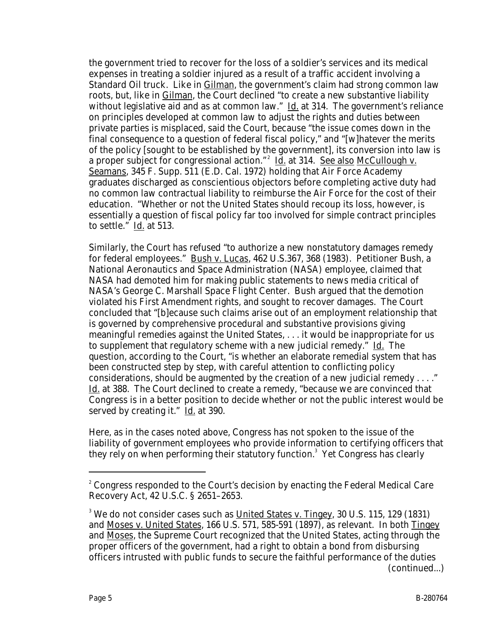the government tried to recover for the loss of a soldier's services and its medical expenses in treating a soldier injured as a result of a traffic accident involving a Standard Oil truck. Like in Gilman, the government's claim had strong common law roots, but, like in Gilman, the Court declined "to create a new substantive liability without legislative aid and as at common law." Id. at 314. The government's reliance on principles developed at common law to adjust the rights and duties between private parties is misplaced, said the Court, because "the issue comes down in the final consequence to a question of federal fiscal policy," and "[w]hatever the merits of the policy [sought to be established by the government], its conversion into law is a proper subject for congressional action."<sup>2</sup> Id. at 314. See also McCullough v. Seamans, 345 F. Supp. 511 (E.D. Cal. 1972) holding that Air Force Academy graduates discharged as conscientious objectors before completing active duty had no common law contractual liability to reimburse the Air Force for the cost of their education. "Whether or not the United States should recoup its loss, however, is essentially a question of fiscal policy far too involved for simple contract principles to settle." Id. at 513.

Similarly, the Court has refused "to authorize a new nonstatutory damages remedy for federal employees." Bush v. Lucas, 462 U.S.367, 368 (1983). Petitioner Bush, a National Aeronautics and Space Administration (NASA) employee, claimed that NASA had demoted him for making public statements to news media critical of NASA's George C. Marshall Space Flight Center. Bush argued that the demotion violated his First Amendment rights, and sought to recover damages. The Court concluded that "[b]ecause such claims arise out of an employment relationship that is governed by comprehensive procedural and substantive provisions giving meaningful remedies against the United States, . . . it would be inappropriate for us to supplement that regulatory scheme with a new judicial remedy." Id. The question, according to the Court, "is whether an elaborate remedial system that has been constructed step by step, with careful attention to conflicting policy considerations, should be augmented by the creation of a new judicial remedy . . . ." Id. at 388. The Court declined to create a remedy, "because we are convinced that Congress is in a better position to decide whether or not the public interest would be served by creating it." Id. at 390.

Here, as in the cases noted above, Congress has not spoken to the issue of the liability of government employees who provide information to certifying officers that they rely on when performing their statutory function.<sup>3</sup> Yet Congress has clearly

-

 $^2$  Congress responded to the Court's decision by enacting the Federal Medical Care Recovery Act, 42 U.S.C. § 2651–2653.

<sup>&</sup>lt;sup>3</sup> We do not consider cases such as <u>United States v. Tingey,</u> 30 U.S. 115, 129 (1831) and Moses v. United States, 166 U.S. 571, 585-591 (1897), as relevant. In both Tingey and Moses, the Supreme Court recognized that the United States, acting through the proper officers of the government, had a right to obtain a bond from disbursing officers intrusted with public funds to secure the faithful performance of the duties (continued...)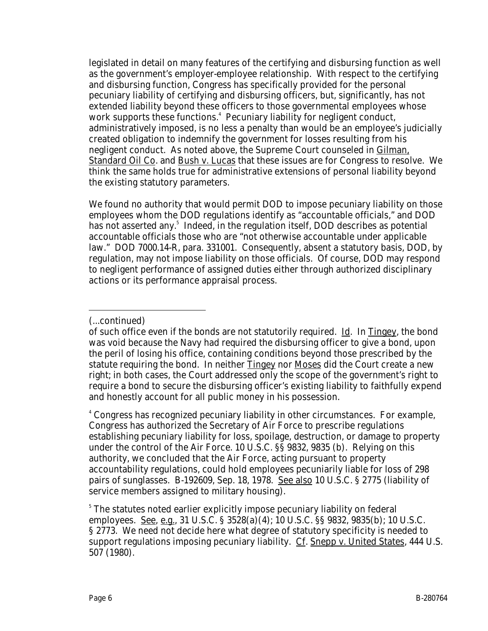legislated in detail on many features of the certifying and disbursing function as well as the government's employer-employee relationship. With respect to the certifying and disbursing function, Congress has specifically provided for the personal pecuniary liability of certifying and disbursing officers, but, significantly, has not extended liability beyond these officers to those governmental employees whose work supports these functions.<sup>4</sup> Pecuniary liability for negligent conduct, administratively imposed, is no less a penalty than would be an employee's judicially created obligation to indemnify the government for losses resulting from his negligent conduct. As noted above, the Supreme Court counseled in Gilman, Standard Oil Co. and Bush v. Lucas that these issues are for Congress to resolve. We think the same holds true for administrative extensions of personal liability beyond the existing statutory parameters.

We found no authority that would permit DOD to impose pecuniary liability on those employees whom the DOD regulations identify as "accountable officials," and DOD has not asserted any.<sup>5</sup> Indeed, in the regulation itself, DOD describes as potential accountable officials those who are "not otherwise accountable under applicable law." DOD 7000.14-R, para. 331001. Consequently, absent a statutory basis, DOD, by regulation, may not impose liability on those officials. Of course, DOD may respond to negligent performance of assigned duties either through authorized disciplinary actions or its performance appraisal process.

4 Congress has recognized pecuniary liability in other circumstances. For example, Congress has authorized the Secretary of Air Force to prescribe regulations establishing pecuniary liability for loss, spoilage, destruction, or damage to property under the control of the Air Force. 10 U.S.C. §§ 9832, 9835 (b). Relying on this authority, we concluded that the Air Force, acting pursuant to property accountability regulations, could hold employees pecuniarily liable for loss of 298 pairs of sunglasses. B-192609, Sep. 18, 1978. See also 10 U.S.C. § 2775 (liability of service members assigned to military housing).

5 The statutes noted earlier explicitly impose pecuniary liability on federal employees. <u>See, e.g.</u>, 31 U.S.C. § 3528(a)(4); 10 U.S.C. §§ 9832, 9835(b); 10 U.S.C. § 2773. We need not decide here what degree of statutory specificity is needed to support regulations imposing pecuniary liability. Cf. Snepp v. United States, 444 U.S. 507 (1980).

<sup>-</sup>(...continued)

of such office even if the bonds are not statutorily required. Id. In Tingey, the bond was void because the Navy had required the disbursing officer to give a bond, upon the peril of losing his office, containing conditions beyond those prescribed by the statute requiring the bond. In neither Tingey nor Moses did the Court create a new right; in both cases, the Court addressed only the scope of the government's right to require a bond to secure the disbursing officer's existing liability to faithfully expend and honestly account for all public money in his possession.